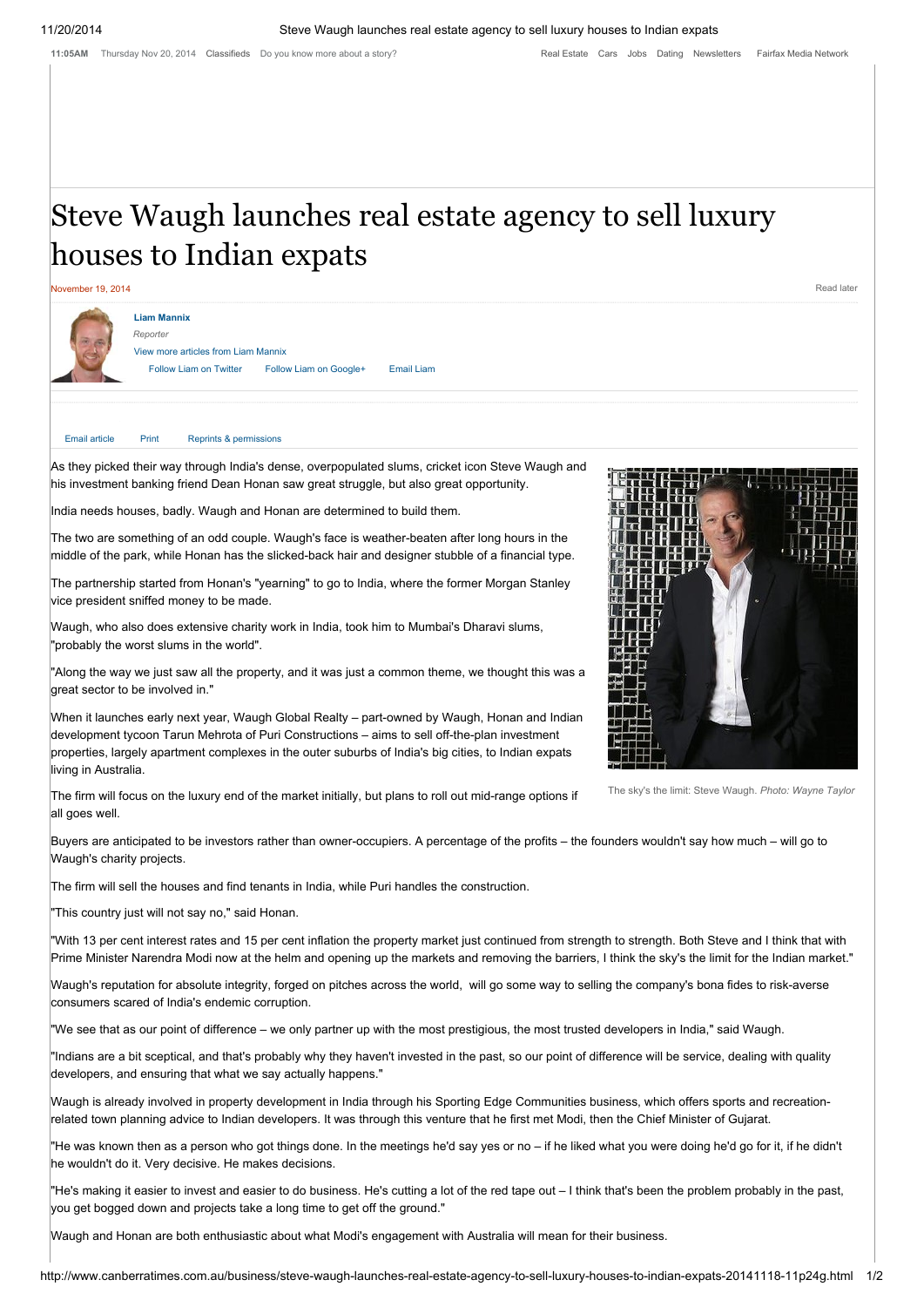11:05AM Thursday Nov 20, 2014 [Classifieds](http://www.canberratimes.com.au/classifieds/search) Do you know more about a story?

# Steve Waugh launches real estate agency to sell luxury houses to Indian expats



As they picked their way through India's dense, overpopulated slums, cricket icon Steve Waugh and his investment banking friend Dean Honan saw great struggle, but also great opportunity.

India needs houses, badly. Waugh and Honan are determined to build them.

The two are something of an odd couple. Waugh's face is weather-beaten after long hours in the middle of the park, while Honan has the slicked-back hair and designer stubble of a financial type.

The partnership started from Honan's "yearning" to go to India, where the former Morgan Stanley vice president sniffed money to be made.

Waugh, who also does extensive charity work in India, took him to Mumbai's Dharavi slums, "probably the worst slums in the world".

"Along the way we just saw all the property, and it was just a common theme, we thought this was a great sector to be involved in."

When it launches early next year, Waugh Global Realty – part-owned by Waugh, Honan and Indian development tycoon Tarun Mehrota of Puri Constructions – aims to sell off-the-plan investment properties, largely apartment complexes in the outer suburbs of India's big cities, to Indian expats living in Australia.

The firm will focus on the luxury end of the market initially, but plans to roll out mid-range options if all goes well.

Buyers are anticipated to be investors rather than owner-occupiers. A percentage of the profits – the founders wouldn't say how much – will go to Waugh's charity projects.

The firm will sell the houses and find tenants in India, while Puri handles the construction.

"This country just will not say no," said Honan.

"With 13 per cent interest rates and 15 per cent inflation the property market just continued from strength to strength. Both Steve and I think that with Prime Minister Narendra Modi now at the helm and opening up the markets and removing the barriers, I think the sky's the limit for the Indian market."

Waugh's reputation for absolute integrity, forged on pitches across the world, will go some way to selling the company's bona fides to risk-averse consumers scared of India's endemic corruption.

"We see that as our point of difference – we only partner up with the most prestigious, the most trusted developers in India," said Waugh.

"Indians are a bit sceptical, and that's probably why they haven't invested in the past, so our point of difference will be service, dealing with quality developers, and ensuring that what we say actually happens."

Waugh is already involved in property development in India through his Sporting Edge Communities business, which offers sports and recreationrelated town planning advice to Indian developers. It was through this venture that he first met Modi, then the Chief Minister of Gujarat.

"He was known then as a person who got things done. In the meetings he'd say yes or no – if he liked what you were doing he'd go for it, if he didn't he wouldn't do it. Very decisive. He makes decisions.

"He's making it easier to invest and easier to do business. He's cutting a lot of the red tape out – I think that's been the problem probably in the past, you get bogged down and projects take a long time to get off the ground."

Waugh and Honan are both enthusiastic about what Modi's engagement with Australia will mean for their business.



The sky's the limit: Steve Waugh. *Photo: Wayne Taylor*